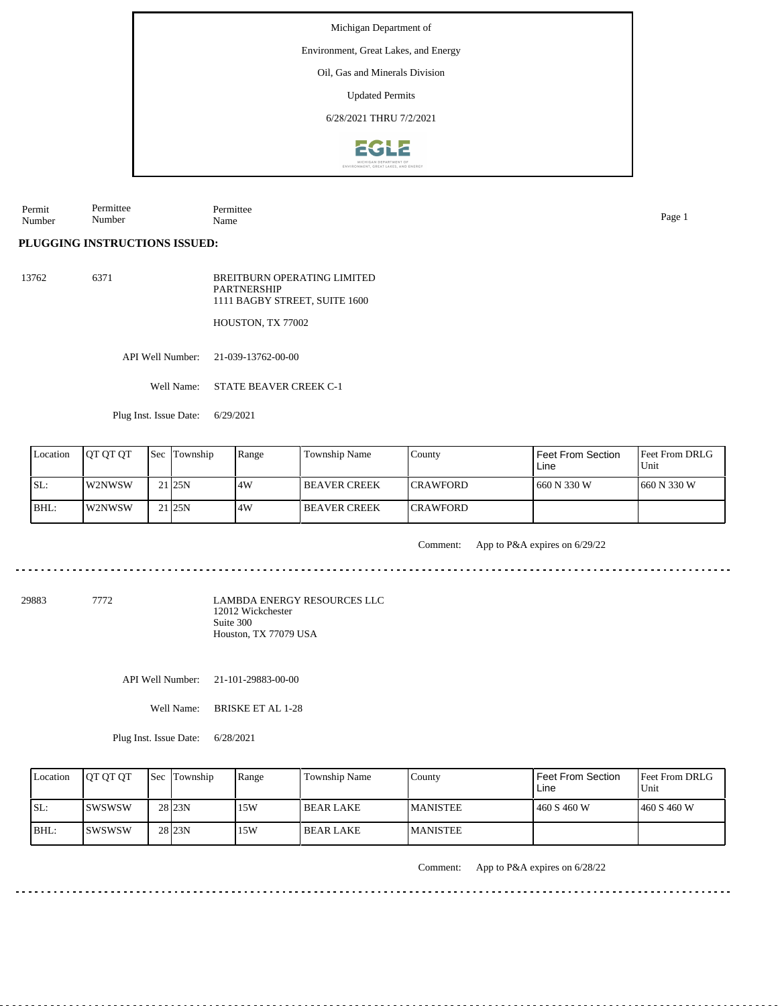Environment, Great Lakes, and Energy

Oil, Gas and Minerals Division

Updated Permits

6/28/2021 THRU 7/2/2021



Permit Number Permittee Number Permittee Name Page 1

**PLUGGING INSTRUCTIONS ISSUED:**

13762 6371 BREITBURN OPERATING LIMITED PARTNERSHIP 1111 BAGBY STREET, SUITE 1600

HOUSTON, TX 77002

API Well Number: 21-039-13762-00-00

Well Name: STATE BEAVER CREEK C-1

Plug Inst. Issue Date: 6/29/2021

| Location | <b>IOT OT OT</b> | <b>Sec Township</b> | Range | Township Name        | County           | Feet From Section<br>Line | <b>Feet From DRLG</b><br>Unit |
|----------|------------------|---------------------|-------|----------------------|------------------|---------------------------|-------------------------------|
| ISL:     | l W2NWSW         | 21 <sub>25N</sub>   | .4W   | I BEAVER CREEK       | <b>ICRAWFORD</b> | 660 N 330 W               | $1660 N$ 330 W                |
| BHL:     | W2NWSW           | 21 <sub>25N</sub>   | 4W    | <b>IBEAVER CREEK</b> | <b>ICRAWFORD</b> |                           |                               |

Comment: App to P&A expires on 6/29/22

29883 7772

LAMBDA ENERGY RESOURCES LLC 12012 Wickchester Suite 300 Houston, TX 77079 USA

API Well Number: 21-101-29883-00-00

Well Name: BRISKE ET AL 1-28

Plug Inst. Issue Date: 6/28/2021

| Location | <b>IOT OT OT</b> | <b>Sec</b> Township | Range | Township Name | County           | <b>Feet From Section</b><br>Line | <b>Feet From DRLG</b><br>Unit |
|----------|------------------|---------------------|-------|---------------|------------------|----------------------------------|-------------------------------|
| ISL:     | Iswswsw          | 28 <sub>23N</sub>   | 15W   | l BEAR LAKE   | <b>IMANISTEE</b> | 460 S 460 W                      | 1460 S 460 W                  |
| $IBHL$ : | <b>ISWSWSW</b>   | 28 <sub>23N</sub>   | 15W   | l BEAR LAKE   | <b>MANISTEE</b>  |                                  |                               |

Comment: App to P&A expires on 6/28/22

<u>. . . . . . . . .</u>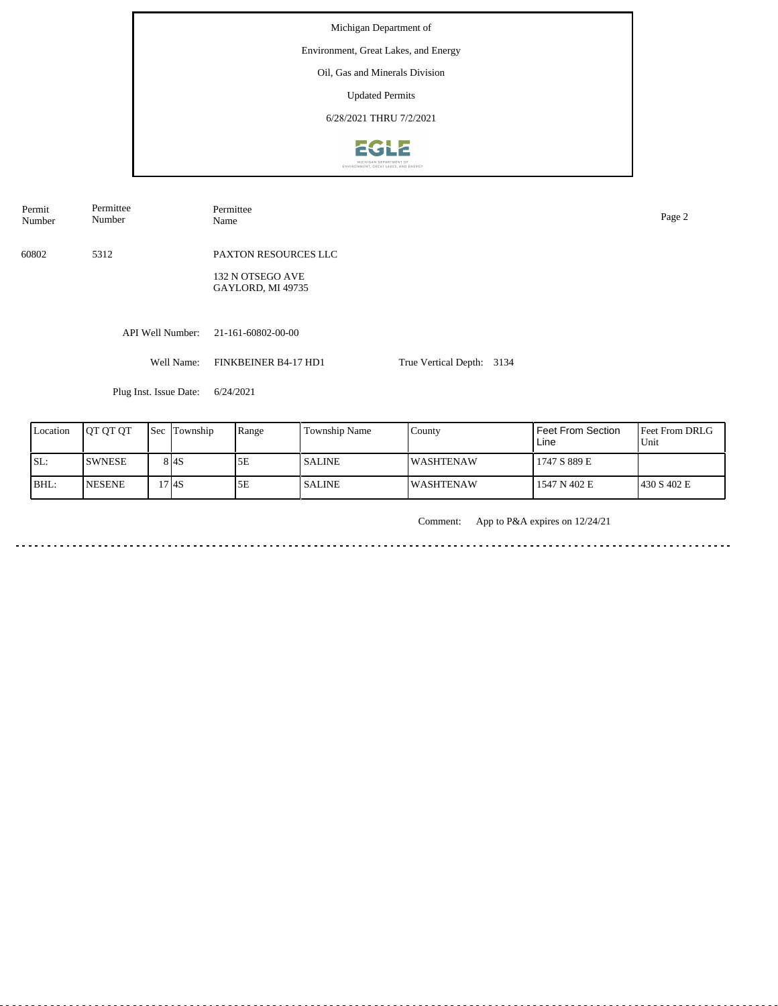Michigan Department of Environment, Great Lakes, and Energy Oil, Gas and Minerals Division Updated Permits 6/28/2021 THRU 7/2/2021**EGLE** 

API Well Number: 21-161-60802-00-00 Well Name: FINKBEINER B4-17 HD1 Plug Inst. Issue Date: 6/24/2021 True Vertical Depth: 3134 60802 5312 PAXTON RESOURCES LLC 132 N OTSEGO AVE GAYLORD, MI 49735 Permit Number Permittee Number Permittee<br>Name Name Page 2

| Location | <b>OT OT OT</b> | 'Sec | Township | Range | <b>Township Name</b> | County            | l Feet From Section<br>Line | <b>Feet From DRLG</b><br>Unit |
|----------|-----------------|------|----------|-------|----------------------|-------------------|-----------------------------|-------------------------------|
| ISL:     | <b>ISWNESE</b>  |      | 8 I 4 S  | 5Ε    | <b>SALINE</b>        | IWASHTENAW        | 1747 S 889 E                |                               |
| BHL:     | <b>INESENE</b>  |      | !7 I4S   | 5Ε    | <b>SALINE</b>        | <b>IWASHTENAW</b> | 1547 N 402 E                | 430 S 402 E                   |

Comment: App to P&A expires on 12/24/21

. . . . . . .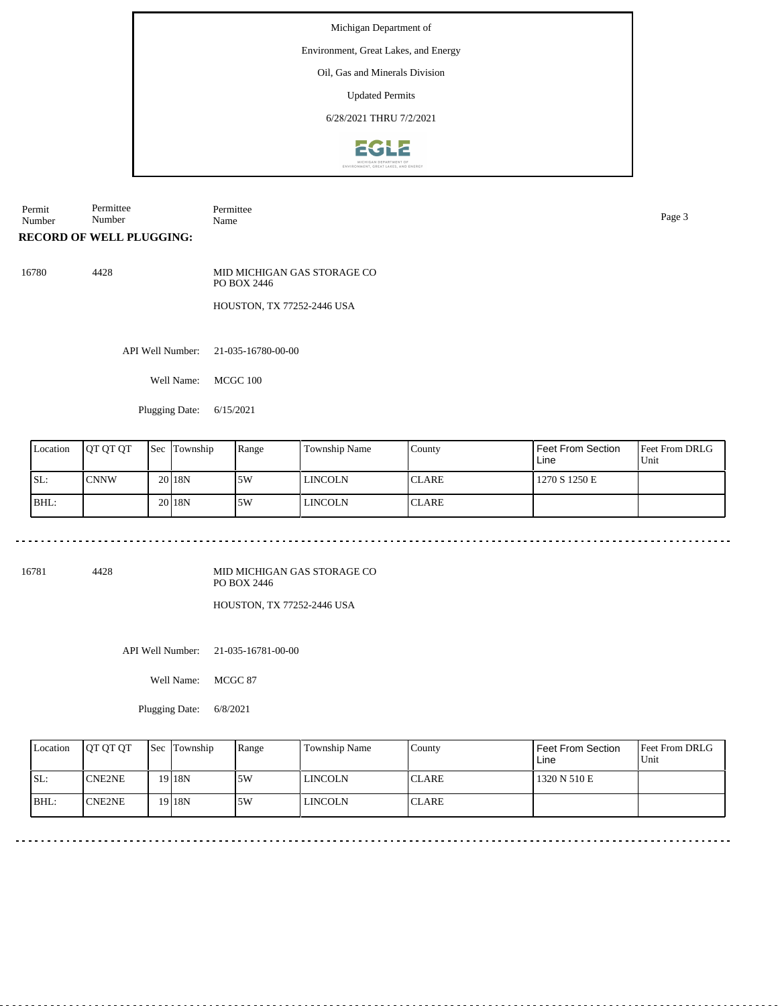## Environment, Great Lakes, and Energy

Oil, Gas and Minerals Division

Updated Permits

6/28/2021 THRU 7/2/2021



Permit Number Permittee Number Permittee Name Page 3

**RECORD OF WELL PLUGGING:**

16780 4428 MID MICHIGAN GAS STORAGE CO PO BOX 2446

HOUSTON, TX 77252-2446 USA

API Well Number: 21-035-16780-00-00

Well Name: MCGC 100

Plugging Date: 6/15/2021

| Location | <b>IOT OT OT</b> | l Sec | Township          | Range | Township Name  | County        | l Feet From Section<br>Line | <b>Feet From DRLG</b><br>Unit |
|----------|------------------|-------|-------------------|-------|----------------|---------------|-----------------------------|-------------------------------|
| ISL:     | ICNNW            |       | 20 <sub>18N</sub> | 15W   | <b>LINCOLN</b> | 'CLARE        | 1270 S 1250 E               |                               |
| BHL:     |                  |       | 20118N            | 5W    | <b>LINCOLN</b> | <b>ICLARE</b> |                             |                               |

16781 4428

MID MICHIGAN GAS STORAGE CO PO BOX 2446

HOUSTON, TX 77252-2446 USA

API Well Number: 21-035-16781-00-00

Well Name: MCGC 87

Plugging Date: 6/8/2021

|     | Location | <b>IOT OT OT</b> | <b>Sec</b> Township | Range | Township Name  | County       | Feet From Section<br>Line | <b>Feet From DRLG</b><br>Unit |
|-----|----------|------------------|---------------------|-------|----------------|--------------|---------------------------|-------------------------------|
| SL: |          | ICNE2NE          | 19 I 18 N           | 5W    | <b>LINCOLN</b> | <b>CLARE</b> | 1320 N 510 E              |                               |
|     | BHL:     | ICNE2NE          | 19 <sub>18N</sub>   | 5W    | <b>LINCOLN</b> | <b>CLARE</b> |                           |                               |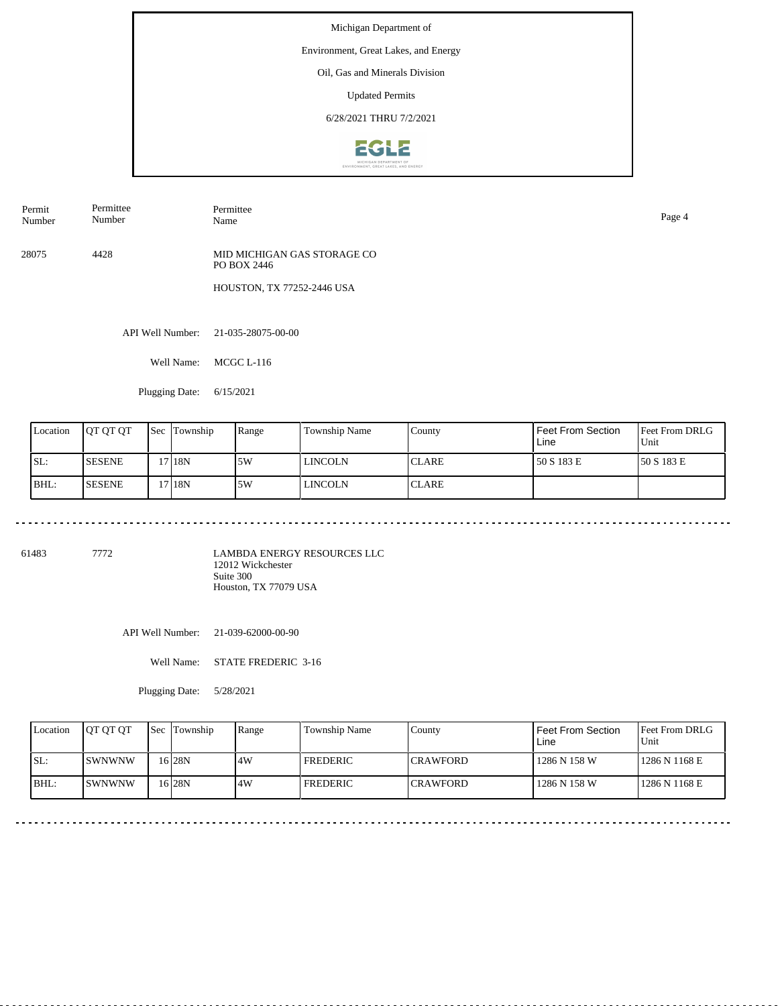## Environment, Great Lakes, and Energy

Oil, Gas and Minerals Division

Updated Permits

6/28/2021 THRU 7/2/2021



Permit Number Permittee Number

Name Page 4

Permittee

28075 4428 MID MICHIGAN GAS STORAGE CO PO BOX 2446

HOUSTON, TX 77252-2446 USA

API Well Number: 21-035-28075-00-00

Well Name: MCGC L-116

Plugging Date: 6/15/2021

| Location | <b>IOT OT OT</b> | <b>Sec</b> | Township | Range | Township Name | County       | Feet From Section<br>Line | <b>Feet From DRLG</b><br>Unit |
|----------|------------------|------------|----------|-------|---------------|--------------|---------------------------|-------------------------------|
| ISL:     | <b>SESENE</b>    |            | 17 18N   | 15W   | LINCOLN       | <b>CLARE</b> | 50 S 183 E                | 150 S 183 E                   |
| BHL:     | <b>SESENE</b>    |            | 17 18N   | 15W   | LINCOLN       | <b>CLARE</b> |                           |                               |

61483 7772

LAMBDA ENERGY RESOURCES LLC 12012 Wickchester Suite 300 Houston, TX 77079 USA

API Well Number: 21-039-62000-00-90

Well Name: STATE FREDERIC 3-16

Plugging Date: 5/28/2021

| Location | <b>IOT OT OT</b> | <b>Sec</b> Township | Range | <b>Township Name</b> | Countv           | Feet From Section<br>Line | <b>Feet From DRLG</b><br>Unit |
|----------|------------------|---------------------|-------|----------------------|------------------|---------------------------|-------------------------------|
| ISL:     | <b>ISWNWNW</b>   | 16 28N              | 4W    | <b>FREDERIC</b>      | <b>ICRAWFORD</b> | 1286 N 158 W              | 1286 N 1168 E                 |
| BHL:     | <b>SWNWNW</b>    | 6 <sub>28N</sub>    | .4W   | <b>FREDERIC</b>      | <b>ICRAWFORD</b> | 1286 N 158 W              | 1286 N 1168 E                 |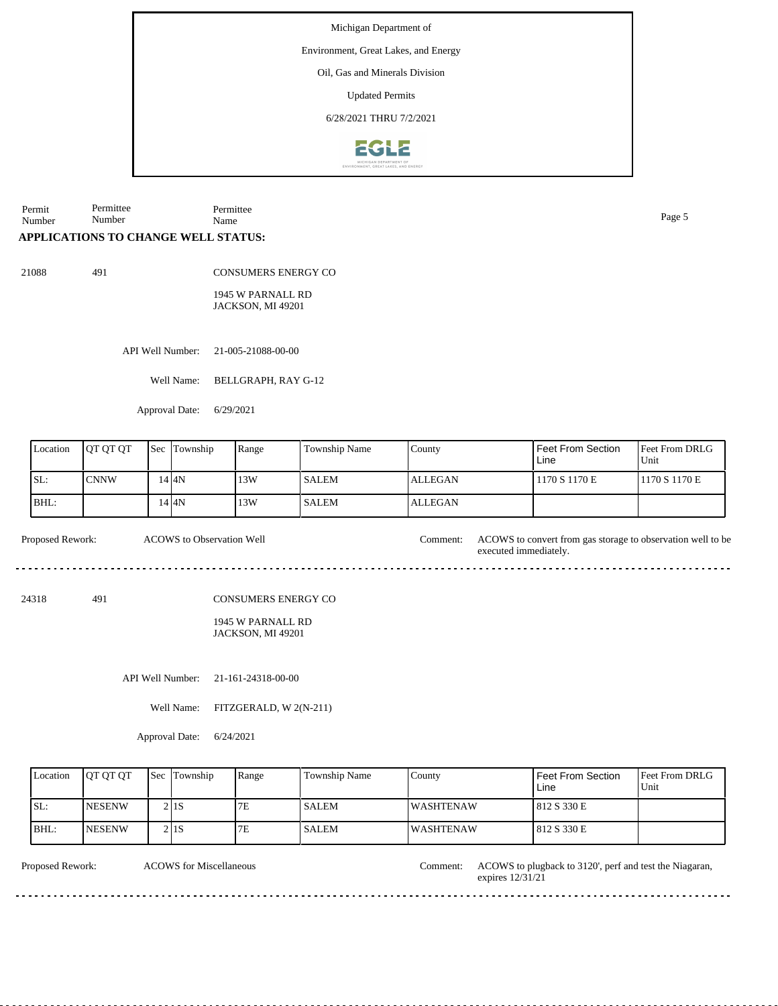Environment, Great Lakes, and Energy

Oil, Gas and Minerals Division

Updated Permits

6/28/2021 THRU 7/2/2021



Permit Number Permittee Number Permittee Name Page 5

## **APPLICATIONS TO CHANGE WELL STATUS:**

21088 491

CONSUMERS ENERGY CO

1945 W PARNALL RD JACKSON, MI 49201

API Well Number: 21-005-21088-00-00

Well Name: BELLGRAPH, RAY G-12

Approval Date: 6/29/2021

| Location | <b>OT OT OT</b> | $\text{Sec}$ | Township | Range | <b>Township Name</b> | County         | Feet From Section<br>Line | <b>Feet From DRLG</b><br>Unit |
|----------|-----------------|--------------|----------|-------|----------------------|----------------|---------------------------|-------------------------------|
| SL:      | <b>CNNW</b>     |              | 14 I 4N  | 13W   | <b>SALEM</b>         | <b>ALLEGAN</b> | 1170 S 1170 E             | 1170 S 1170 E                 |
| BHL:     |                 |              | 14 I 4 N | 13W   | <b>SALEM</b>         | <b>ALLEGAN</b> |                           |                               |

Proposed Rework: ACOWS to convert from gas storage to observation well to be ACOWS to Observation Well

24318 491

CONSUMERS ENERGY CO

#### 1945 W PARNALL RD JACKSON, MI 49201

API Well Number: 21-161-24318-00-00

Well Name: FITZGERALD, W 2(N-211)

Approval Date: 6/24/2021

| Location | <b>OT OT OT</b> | <b>Sec</b> Township | Range | Township Name | County            | Feet From Section<br>Line | <b>Feet From DRLG</b><br>Unit |
|----------|-----------------|---------------------|-------|---------------|-------------------|---------------------------|-------------------------------|
| ISL:     | <b>NESENW</b>   | 2 I 1 S             | 7Ε    | <b>SALEM</b>  | <b>IWASHTENAW</b> | 812 S 330 E               |                               |
| BHL:     | <b>INESENW</b>  | 2 I 1 S             | 7E    | <b>SALEM</b>  | <b>IWASHTENAW</b> | 812 S 330 E               |                               |

| Proposed Rework: |  |  |
|------------------|--|--|
|------------------|--|--|

ACOWS for Miscellaneous

Comment: ACOWS to plugback to 3120', perf and test the Niagaran, expires 12/31/21

executed immediately.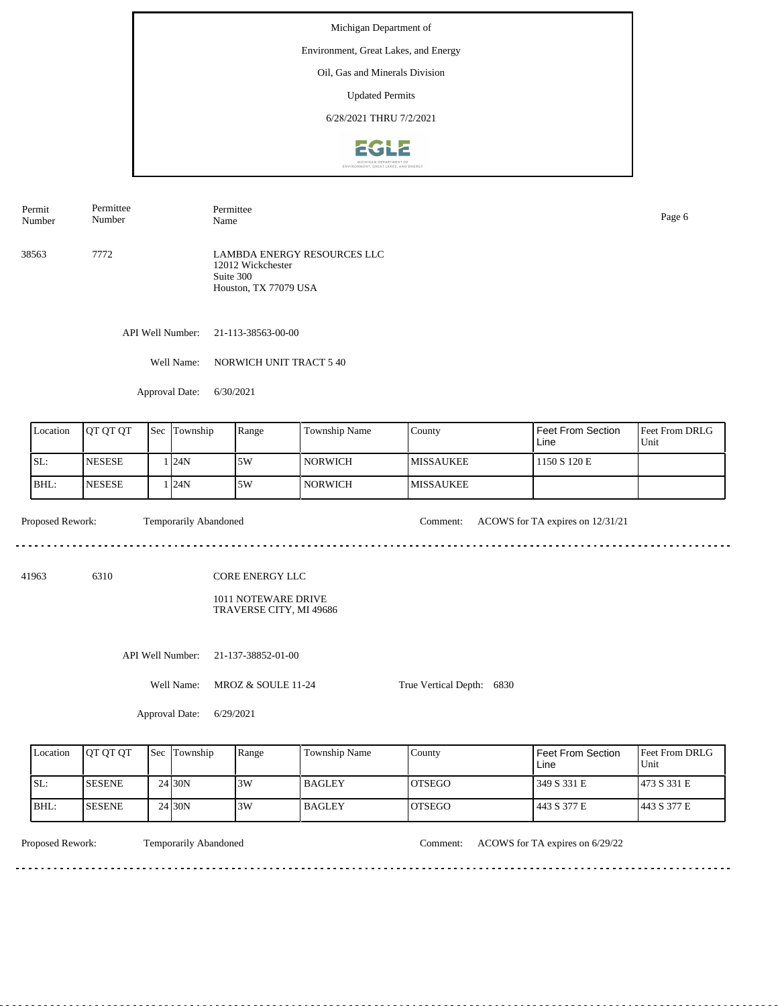# Environment, Great Lakes, and Energy

Oil, Gas and Minerals Division

Updated Permits

6/28/2021 THRU 7/2/2021



Permittee Permittee

38563 7772 LAMBDA ENERGY RESOURCES LLC 12012 Wickchester Suite 300 Houston, TX 77079 USA

API Well Number: 21-113-38563-00-00

Well Name: NORWICH UNIT TRACT 5 40

Approval Date: 6/30/2021

| Location | JOT OT OT      | <b>Sec</b> | Township | Range | Township Name | County            | Feet From Section<br>Line | Feet From DRLG<br>Unit |
|----------|----------------|------------|----------|-------|---------------|-------------------|---------------------------|------------------------|
| ISL:     | <b>INESESE</b> |            | 124N     | 15W   | NORWICH_      | IMISSAUKEE        | 1150 S 120 E              |                        |
| BHL:     | <b>INESESE</b> |            | 124N     | .5W   | NORWICH       | <b>IMISSAUKEE</b> |                           |                        |

Proposed Rework: Temporarily Abandoned Comment: ACOWS for TA expires on 12/31/21

. . . . . . . . . . .

Number

41963 6310

Permit Number

CORE ENERGY LLC

1011 NOTEWARE DRIVE TRAVERSE CITY, MI 49686

API Well Number: 21-137-38852-01-00

Well Name: MROZ & SOULE 11-24

True Vertical Depth: 6830

Approval Date: 6/29/2021

| Location | <b>OT OT OT</b> | <b>Sec</b> Township | Range | Township Name | County         | Feet From Section<br>Line | <b>Feet From DRLG</b><br>Unit |
|----------|-----------------|---------------------|-------|---------------|----------------|---------------------------|-------------------------------|
| SL:      | <b>ISESENE</b>  | 24 <sub>30</sub> N  | 3W    | <b>BAGLEY</b> | IOTSEGO        | 349 S 331 E               | 1473 S 331 E                  |
| BHL:     | <b>ISESENE</b>  | 24 <sub>30</sub> N  | 3W    | <b>BAGLEY</b> | <b>IOTSEGO</b> | 443 S 377 E               | 443 S 377 E                   |

Temporarily Abandoned

<u>. . . . . . . . .</u>

Proposed Rework: Temporarily Abandoned Comment: ACOWS for TA expires on 6/29/22

Name Page 6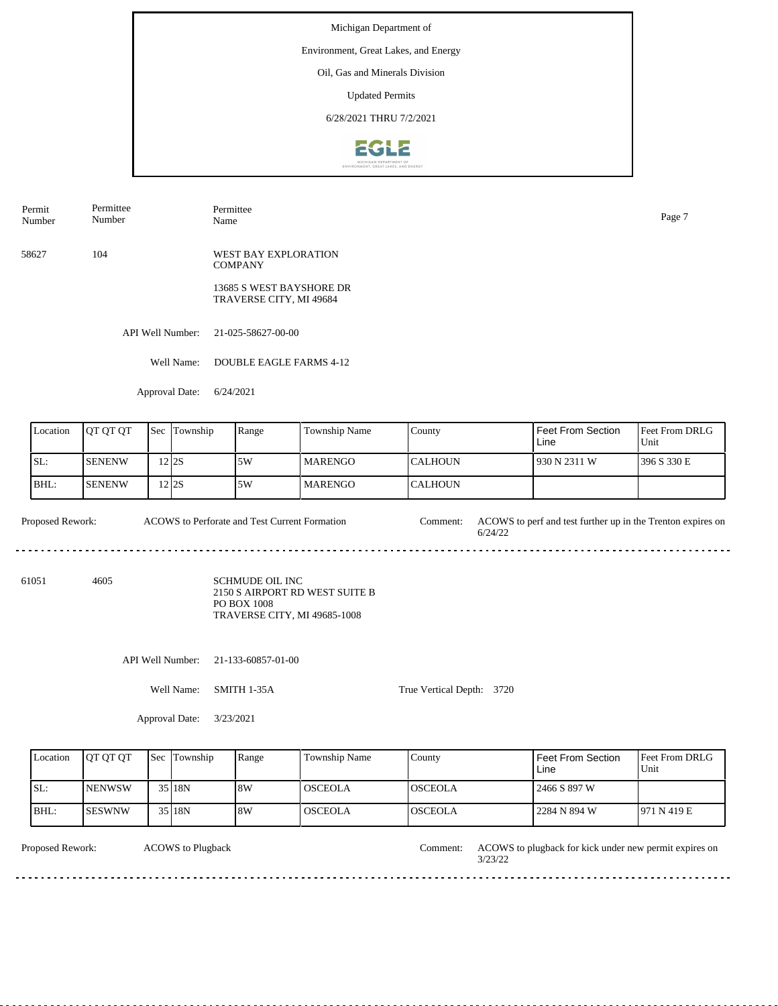#### Environment, Great Lakes, and Energy

Oil, Gas and Minerals Division

Updated Permits

6/28/2021 THRU 7/2/2021



| Permit<br>Number | Permittee<br>$\sim$ $\sim$<br>Number | $\overline{\phantom{a}}$<br>Permittee<br>. .<br>Name | Page |
|------------------|--------------------------------------|------------------------------------------------------|------|
|                  |                                      |                                                      |      |

58627 104 WEST BAY EXPLORATION **COMPANY** 

> 13685 S WEST BAYSHORE DR TRAVERSE CITY, MI 49684

API Well Number: 21-025-58627-00-00

Well Name: DOUBLE EAGLE FARMS 4-12

Approval Date: 6/24/2021

| Location | <b>IOT OT OT</b> | <b>Sec Township</b> | Range | Township Name  | County           | Feet From Section<br>Line | <b>Feet From DRLG</b><br>Unit |
|----------|------------------|---------------------|-------|----------------|------------------|---------------------------|-------------------------------|
| SL:      | <b>ISENENW</b>   | 2 2 2 S             | 5W    | <b>MARENGO</b> | ICALHOUN         | 930 N 2311 W              | 1396 S 330 E                  |
| BHL:     | <b>ISENENW</b>   | 2 2 2 S             | 5W    | <b>MARENGO</b> | <b>I</b> CALHOUN |                           |                               |

Proposed Rework: ACOWS to Perforate and Test Current Formation Comment: ACOWS to perf and test further up in the Trenton expires on 6/24/22 ACOWS to Perforate and Test Current Formation

61051 4605

SCHMUDE OIL INC 2150 S AIRPORT RD WEST SUITE B PO BOX 1008 TRAVERSE CITY, MI 49685-1008

API Well Number: 21-133-60857-01-00

Well Name: SMITH 1-35A

True Vertical Depth: 3720

Approval Date: 3/23/2021

| Location | <b>IOT OT OT</b> | <b>Sec</b> Township | Range | Township Name  | County          | Feet From Section<br>Line | Feet From DRLG<br>Unit |
|----------|------------------|---------------------|-------|----------------|-----------------|---------------------------|------------------------|
| ISL:     | <b>INENWSW</b>   | 35 18N              | 8W    | <b>OSCEOLA</b> | IOSCEOLA        | 2466 S 897 W              |                        |
| BHL:     | <b>ISESWNW</b>   | 35 18N              | 18W   | <b>OSCEOLA</b> | <b>IOSCEOLA</b> | 2284 N 894 W              | 1971 N 419 E           |

Proposed Rework: ACOWS to Plugback and Pulse and Proposed Rework: ACOWS to plugback for kick under new permit expires on ACOWS to Plugback Comment: 3/23/22 . . . . . . . . . . . . . . . . . . . . . . . . . . . . . . . . . .  $- - - - -$